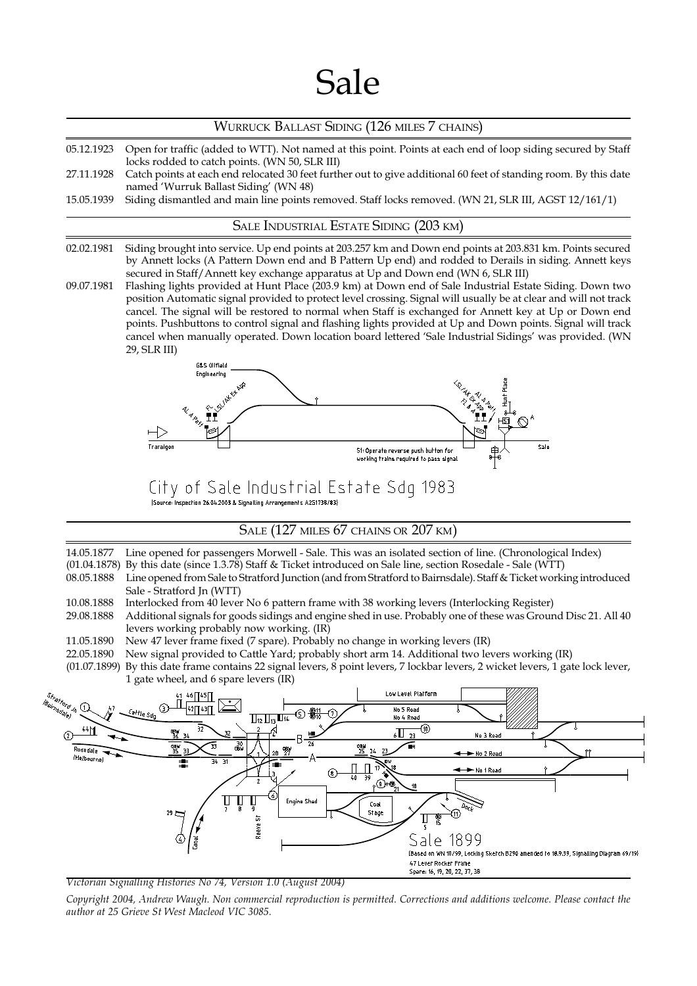# Sale

#### WURRUCK BALLAST SIDING (126 MILES 7 CHAINS)

- 05.12.1923 Open for traffic (added to WTT). Not named at this point. Points at each end of loop siding secured by Staff locks rodded to catch points. (WN 50, SLR III)
- 27.11.1928 Catch points at each end relocated 30 feet further out to give additional 60 feet of standing room. By this date named 'Wurruk Ballast Siding' (WN 48)
- 15.05.1939 Siding dismantled and main line points removed. Staff locks removed. (WN 21, SLR III, AGST 12/161/1)

#### SALE INDUSTRIAL ESTATE SIDING (203 KM)

- 02.02.1981 Siding brought into service. Up end points at 203.257 km and Down end points at 203.831 km. Points secured by Annett locks (A Pattern Down end and B Pattern Up end) and rodded to Derails in siding. Annett keys secured in Staff/Annett key exchange apparatus at Up and Down end (WN 6, SLR III)
- 09.07.1981 Flashing lights provided at Hunt Place (203.9 km) at Down end of Sale Industrial Estate Siding. Down two position Automatic signal provided to protect level crossing. Signal will usually be at clear and will not track cancel. The signal will be restored to normal when Staff is exchanged for Annett key at Up or Down end points. Pushbuttons to control signal and flashing lights provided at Up and Down points. Signal will track cancel when manually operated. Down location board lettered 'Sale Industrial Sidings' was provided. (WN 29, SLR III)



City of Sale Industrial Estate Sdg 1983

[Source: Inspection 26.04.2003 & Signalling Arrangements A2S1738/83]

SALE (127 MILES 67 CHAINS OR 207 KM)

14.05.1877 Line opened for passengers Morwell - Sale. This was an isolated section of line. (Chronological Index)

(01.04.1878) By this date (since 1.3.78) Staff & Ticket introduced on Sale line, section Rosedale - Sale (WTT)

- 08.05.1888 Line opened from Sale to Stratford Junction (and from Stratford to Bairnsdale). Staff & Ticket working introduced Sale - Stratford Jn (WTT)
- 10.08.1888 Interlocked from 40 lever No 6 pattern frame with 38 working levers (Interlocking Register)
- 29.08.1888 Additional signals for goods sidings and engine shed in use. Probably one of these was Ground Disc 21. All 40 levers working probably now working. (IR)
- 11.05.1890 New 47 lever frame fixed (7 spare). Probably no change in working levers (IR)

22.05.1890 New signal provided to Cattle Yard; probably short arm 14. Additional two levers working (IR)

(01.07.1899) By this date frame contains 22 signal levers, 8 point levers, 7 lockbar levers, 2 wicket levers, 1 gate lock lever, 1 gate wheel, and 6 spare levers (IR)



Victorian Signalling Histories No 74, Version 1.0 (August 2004)

Copyright 2004, Andrew Waugh. Non commercial reproduction is permitted. Corrections and additions welcome. Please contact the author at 25 Grieve St West Macleod VIC 3085.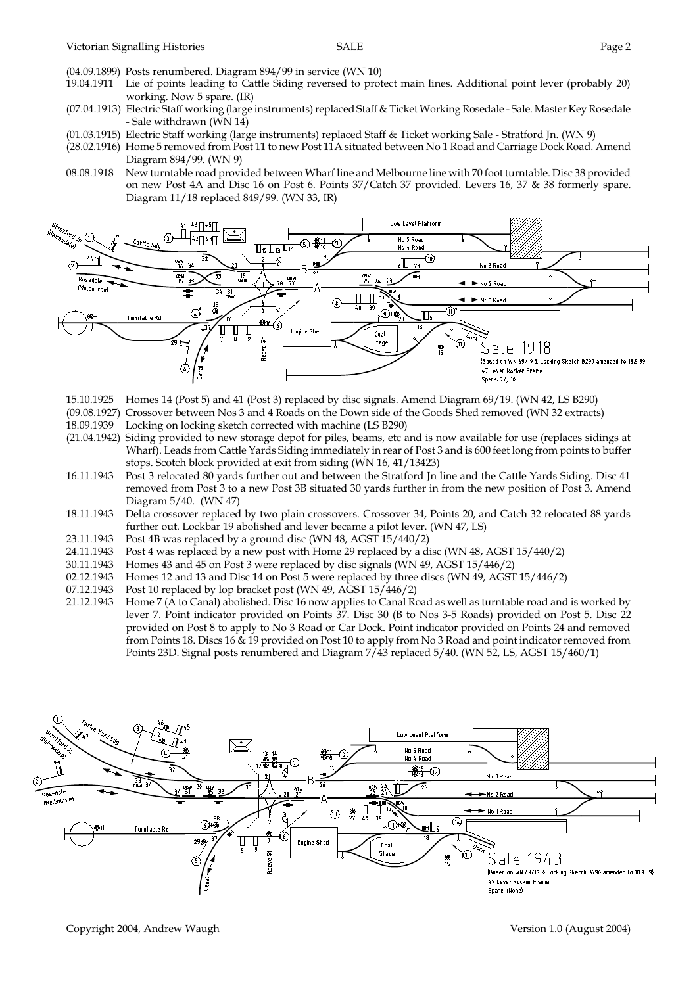- (04.09.1899) Posts renumbered. Diagram 894/99 in service (WN 10)
- 19.04.1911 Lie of points leading to Cattle Siding reversed to protect main lines. Additional point lever (probably 20) working. Now 5 spare. (IR)
- (07.04.1913) Electric Staff working (large instruments) replaced Staff & Ticket Working Rosedale Sale. Master Key Rosedale - Sale withdrawn (WN 14)
- (01.03.1915) Electric Staff working (large instruments) replaced Staff & Ticket working Sale Stratford Jn. (WN 9)
- (28.02.1916) Home 5 removed from Post 11 to new Post 11A situated between No 1 Road and Carriage Dock Road. Amend Diagram 894/99. (WN 9)
- 08.08.1918 New turntable road provided between Wharf line and Melbourne line with 70 foot turntable. Disc 38 provided on new Post 4A and Disc 16 on Post 6. Points 37/Catch 37 provided. Levers 16, 37 & 38 formerly spare. Diagram 11/18 replaced 849/99. (WN 33, IR)



- 15.10.1925 Homes 14 (Post 5) and 41 (Post 3) replaced by disc signals. Amend Diagram 69/19. (WN 42, LS B290)
- (09.08.1927) Crossover between Nos 3 and 4 Roads on the Down side of the Goods Shed removed (WN 32 extracts)
- 18.09.1939 Locking on locking sketch corrected with machine (LS B290)
- (21.04.1942) Siding provided to new storage depot for piles, beams, etc and is now available for use (replaces sidings at Wharf). Leads from Cattle Yards Siding immediately in rear of Post 3 and is 600 feet long from points to buffer stops. Scotch block provided at exit from siding (WN 16, 41/13423)
- 16.11.1943 Post 3 relocated 80 yards further out and between the Stratford Jn line and the Cattle Yards Siding. Disc 41 removed from Post 3 to a new Post 3B situated 30 yards further in from the new position of Post 3. Amend Diagram 5/40. (WN 47)
- 18.11.1943 Delta crossover replaced by two plain crossovers. Crossover 34, Points 20, and Catch 32 relocated 88 yards further out. Lockbar 19 abolished and lever became a pilot lever. (WN 47, LS)
- 23.11.1943 Post 4B was replaced by a ground disc (WN 48, AGST 15/440/2)
- 24.11.1943 Post 4 was replaced by a new post with Home 29 replaced by a disc (WN 48, AGST 15/440/2)
- 30.11.1943 Homes 43 and 45 on Post 3 were replaced by disc signals (WN 49, AGST 15/446/2)
- 02.12.1943 Homes 12 and 13 and Disc 14 on Post 5 were replaced by three discs (WN 49, AGST 15/446/2) 07.12.1943 Post 10 replaced by lop bracket post (WN 49, AGST 15/446/2)
- 07.12.1943 Post 10 replaced by lop bracket post (WN 49, AGST 15/446/2)<br>21.12.1943 Home 7 (A to Canal) abolished. Disc 16 now applies to Canal Ro
- Home 7 (A to Canal) abolished. Disc 16 now applies to Canal Road as well as turntable road and is worked by lever 7. Point indicator provided on Points 37. Disc 30 (B to Nos 3-5 Roads) provided on Post 5. Disc 22 provided on Post 8 to apply to No 3 Road or Car Dock. Point indicator provided on Points 24 and removed from Points 18. Discs 16 & 19 provided on Post 10 to apply from No 3 Road and point indicator removed from Points 23D. Signal posts renumbered and Diagram 7/43 replaced 5/40. (WN 52, LS, AGST 15/460/1)

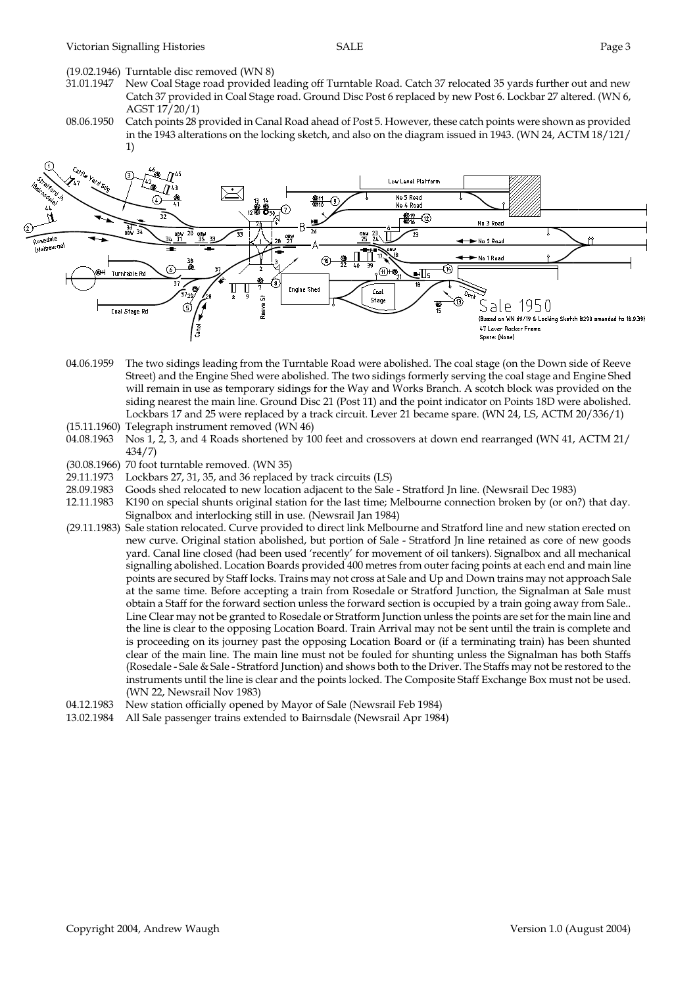(19.02.1946) Turntable disc removed (WN 8)

- New Coal Stage road provided leading off Turntable Road. Catch 37 relocated 35 yards further out and new Catch 37 provided in Coal Stage road. Ground Disc Post 6 replaced by new Post 6. Lockbar 27 altered. (WN 6, AGST 17/20/1)
- 08.06.1950 Catch points 28 provided in Canal Road ahead of Post 5. However, these catch points were shown as provided in the 1943 alterations on the locking sketch, and also on the diagram issued in 1943. (WN 24, ACTM 18/121/ 1)



- 04.06.1959 The two sidings leading from the Turntable Road were abolished. The coal stage (on the Down side of Reeve Street) and the Engine Shed were abolished. The two sidings formerly serving the coal stage and Engine Shed will remain in use as temporary sidings for the Way and Works Branch. A scotch block was provided on the siding nearest the main line. Ground Disc 21 (Post 11) and the point indicator on Points 18D were abolished. Lockbars 17 and 25 were replaced by a track circuit. Lever 21 became spare. (WN 24, LS, ACTM 20/336/1)
- (15.11.1960) Telegraph instrument removed (WN 46)
- 04.08.1963 Nos 1, 2, 3, and 4 Roads shortened by 100 feet and crossovers at down end rearranged (WN 41, ACTM 21/ 434/7)
- (30.08.1966) 70 foot turntable removed. (WN 35)
- 29.11.1973 Lockbars 27, 31, 35, and 36 replaced by track circuits (LS)
- 28.09.1983 Goods shed relocated to new location adjacent to the Sale Stratford Jn line. (Newsrail Dec 1983)
- 12.11.1983 K190 on special shunts original station for the last time; Melbourne connection broken by (or on?) that day. Signalbox and interlocking still in use. (Newsrail Jan 1984)
- (29.11.1983) Sale station relocated. Curve provided to direct link Melbourne and Stratford line and new station erected on new curve. Original station abolished, but portion of Sale - Stratford Jn line retained as core of new goods yard. Canal line closed (had been used 'recently' for movement of oil tankers). Signalbox and all mechanical signalling abolished. Location Boards provided 400 metres from outer facing points at each end and main line points are secured by Staff locks. Trains may not cross at Sale and Up and Down trains may not approach Sale at the same time. Before accepting a train from Rosedale or Stratford Junction, the Signalman at Sale must obtain a Staff for the forward section unless the forward section is occupied by a train going away from Sale.. Line Clear may not be granted to Rosedale or Stratform Junction unless the points are set for the main line and the line is clear to the opposing Location Board. Train Arrival may not be sent until the train is complete and is proceeding on its journey past the opposing Location Board or (if a terminating train) has been shunted clear of the main line. The main line must not be fouled for shunting unless the Signalman has both Staffs (Rosedale - Sale & Sale - Stratford Junction) and shows both to the Driver. The Staffs may not be restored to the instruments until the line is clear and the points locked. The Composite Staff Exchange Box must not be used. (WN 22, Newsrail Nov 1983)
- 04.12.1983 New station officially opened by Mayor of Sale (Newsrail Feb 1984)
- 13.02.1984 All Sale passenger trains extended to Bairnsdale (Newsrail Apr 1984)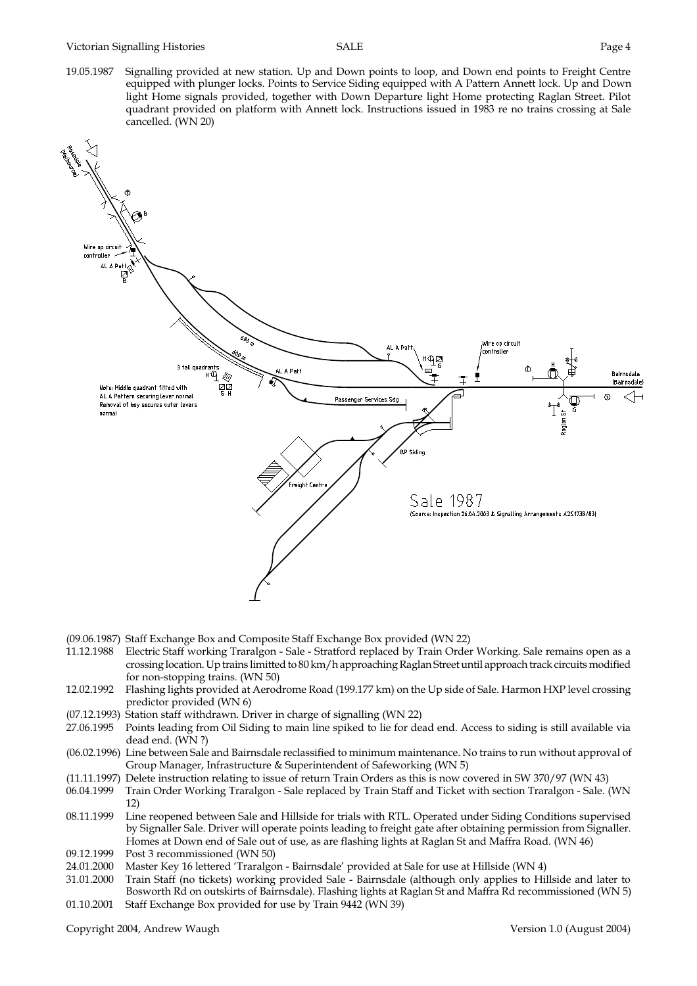19.05.1987 Signalling provided at new station. Up and Down points to loop, and Down end points to Freight Centre equipped with plunger locks. Points to Service Siding equipped with A Pattern Annett lock. Up and Down light Home signals provided, together with Down Departure light Home protecting Raglan Street. Pilot quadrant provided on platform with Annett lock. Instructions issued in 1983 re no trains crossing at Sale cancelled. (WN 20)



- (09.06.1987) Staff Exchange Box and Composite Staff Exchange Box provided (WN 22)
- 11.12.1988 Electric Staff working Traralgon Sale Stratford replaced by Train Order Working. Sale remains open as a crossing location. Up trains limitted to 80 km/h approaching Raglan Street until approach track circuits modified for non-stopping trains. (WN 50)
- 12.02.1992 Flashing lights provided at Aerodrome Road (199.177 km) on the Up side of Sale. Harmon HXP level crossing predictor provided (WN 6)
- (07.12.1993) Station staff withdrawn. Driver in charge of signalling (WN 22)
- 27.06.1995 Points leading from Oil Siding to main line spiked to lie for dead end. Access to siding is still available via dead end. (WN ?)
- (06.02.1996) Line between Sale and Bairnsdale reclassified to minimum maintenance. No trains to run without approval of Group Manager, Infrastructure & Superintendent of Safeworking (WN 5)
- (11.11.1997) Delete instruction relating to issue of return Train Orders as this is now covered in SW 370/97 (WN 43)
- 06.04.1999 Train Order Working Traralgon Sale replaced by Train Staff and Ticket with section Traralgon Sale. (WN 12)
- 08.11.1999 Line reopened between Sale and Hillside for trials with RTL. Operated under Siding Conditions supervised by Signaller Sale. Driver will operate points leading to freight gate after obtaining permission from Signaller. Homes at Down end of Sale out of use, as are flashing lights at Raglan St and Maffra Road. (WN 46)
- 09.12.1999 Post 3 recommissioned (WN 50)<br>24.01.2000 Master Key 16 lettered 'Traralgo
- Master Key 16 lettered 'Traralgon Bairnsdale' provided at Sale for use at Hillside (WN 4)
- 31.01.2000 Train Staff (no tickets) working provided Sale Bairnsdale (although only applies to Hillside and later to Bosworth Rd on outskirts of Bairnsdale). Flashing lights at Raglan St and Maffra Rd recommissioned (WN 5) 01.10.2001 Staff Exchange Box provided for use by Train 9442 (WN 39)

Copyright 2004, Andrew Waugh Version 1.0 (August 2004)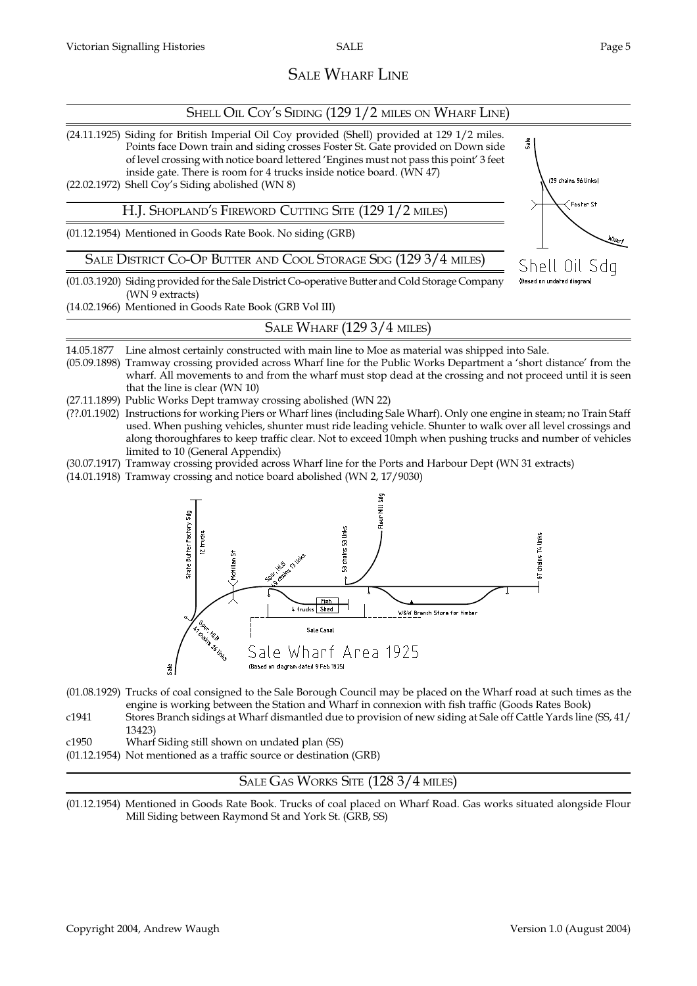Wharf

Še

(29 chains 96 links)

Shell Oil Sda (Based on undated diagram

Foster St

## SALE WHARF LINE

#### SHELL OIL COY'S SIDING (129 1/2 MILES ON WHARF LINE)

(24.11.1925) Siding for British Imperial Oil Coy provided (Shell) provided at 129 1/2 miles. Points face Down train and siding crosses Foster St. Gate provided on Down side of level crossing with notice board lettered 'Engines must not pass this point' 3 feet inside gate. There is room for 4 trucks inside notice board. (WN 47)

(22.02.1972) Shell Coy's Siding abolished (WN 8)

H.J. SHOPLAND'S FIREWORD CUTTING SITE (129 1/2 MILES)

(01.12.1954) Mentioned in Goods Rate Book. No siding (GRB)

SALE DISTRICT CO-OP BUTTER AND COOL STORAGE SDG (129 3/4 MILES)

(01.03.1920) Siding provided for the Sale District Co-operative Butter and Cold Storage Company (WN 9 extracts)

(14.02.1966) Mentioned in Goods Rate Book (GRB Vol III)

SALE WHARF (129 3/4 MILES)

14.05.1877 Line almost certainly constructed with main line to Moe as material was shipped into Sale.

- (05.09.1898) Tramway crossing provided across Wharf line for the Public Works Department a 'short distance' from the wharf. All movements to and from the wharf must stop dead at the crossing and not proceed until it is seen that the line is clear (WN 10)
- (27.11.1899) Public Works Dept tramway crossing abolished (WN 22)
- (??.01.1902) Instructions for working Piers or Wharf lines (including Sale Wharf). Only one engine in steam; no Train Staff used. When pushing vehicles, shunter must ride leading vehicle. Shunter to walk over all level crossings and along thoroughfares to keep traffic clear. Not to exceed 10mph when pushing trucks and number of vehicles limited to 10 (General Appendix)
- (30.07.1917) Tramway crossing provided across Wharf line for the Ports and Harbour Dept (WN 31 extracts)

(14.01.1918) Tramway crossing and notice board abolished (WN 2, 17/9030)



- (01.08.1929) Trucks of coal consigned to the Sale Borough Council may be placed on the Wharf road at such times as the engine is working between the Station and Wharf in connexion with fish traffic (Goods Rates Book)
- c1941 Stores Branch sidings at Wharf dismantled due to provision of new siding at Sale off Cattle Yards line (SS, 41/ 13423)
- c1950 Wharf Siding still shown on undated plan (SS)
- (01.12.1954) Not mentioned as a traffic source or destination (GRB)

#### SALE GAS WORKS SITE (128 3/4 MILES)

(01.12.1954) Mentioned in Goods Rate Book. Trucks of coal placed on Wharf Road. Gas works situated alongside Flour Mill Siding between Raymond St and York St. (GRB, SS)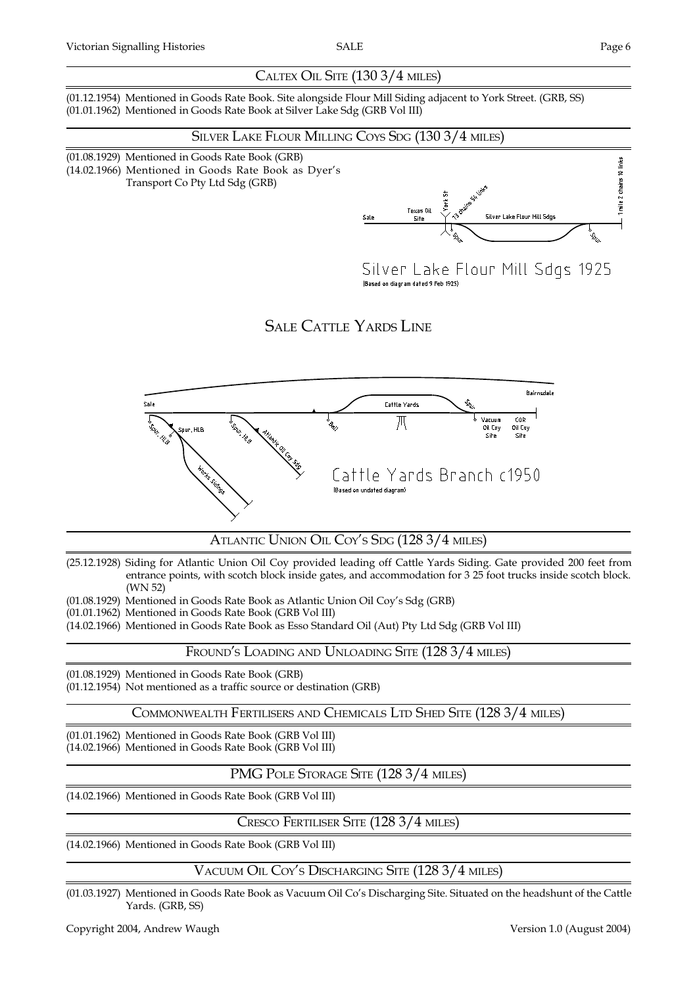#### CALTEX OIL SITE (130 3/4 MILES)

(01.12.1954) Mentioned in Goods Rate Book. Site alongside Flour Mill Siding adjacent to York Street. (GRB, SS) (01.01.1962) Mentioned in Goods Rate Book at Silver Lake Sdg (GRB Vol III)

#### SILVER LAKE FLOUR MILLING COYS SDG (130 3/4 MILES)

(01.08.1929) Mentioned in Goods Rate Book (GRB) (14.02.1966) Mentioned in Goods Rate Book as Dyer's Transport Co Pty Ltd Sdg (GRB)



Silver Lake Flour Mill Sdgs 1925 (Based on diagram dated 9 Feb 1925)

SALE CATTLE YARDS LINE



#### ATLANTIC UNION OIL COY'S SDG (128 3/4 MILES)

(25.12.1928) Siding for Atlantic Union Oil Coy provided leading off Cattle Yards Siding. Gate provided 200 feet from entrance points, with scotch block inside gates, and accommodation for 3 25 foot trucks inside scotch block. (WN 52)

(01.08.1929) Mentioned in Goods Rate Book as Atlantic Union Oil Coys Sdg (GRB)

(01.01.1962) Mentioned in Goods Rate Book (GRB Vol III)

(14.02.1966) Mentioned in Goods Rate Book as Esso Standard Oil (Aut) Pty Ltd Sdg (GRB Vol III)

FROUND'S LOADING AND UNLOADING SITE (128 3/4 MILES)

(01.08.1929) Mentioned in Goods Rate Book (GRB) (01.12.1954) Not mentioned as a traffic source or destination (GRB)

COMMONWEALTH FERTILISERS AND CHEMICALS LTD SHED SITE (128 3/4 MILES)

(01.01.1962) Mentioned in Goods Rate Book (GRB Vol III) (14.02.1966) Mentioned in Goods Rate Book (GRB Vol III)

#### PMG POLE STORAGE SITE (128 3/4 MILES)

(14.02.1966) Mentioned in Goods Rate Book (GRB Vol III)

CRESCO FERTILISER SITE (128 3/4 MILES)

(14.02.1966) Mentioned in Goods Rate Book (GRB Vol III)

VACUUM OIL COYS DISCHARGING SITE (128 3/4 MILES)

(01.03.1927) Mentioned in Goods Rate Book as Vacuum Oil Co's Discharging Site. Situated on the headshunt of the Cattle Yards. (GRB, SS)